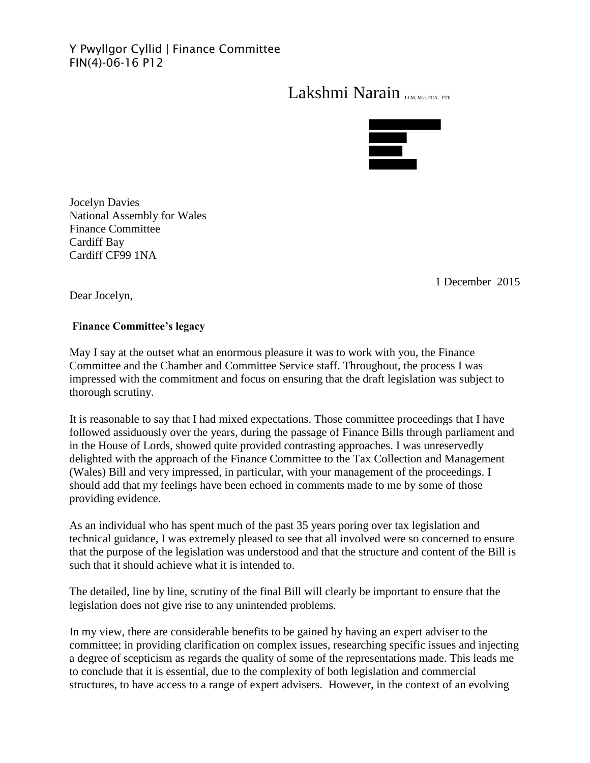## Y Pwyllgor Cyllid | Finance Committee FIN(4)-06-16 P12

## Lakshmi Narain LLM, Msc, FCA, FTII



Jocelyn Davies National Assembly for Wales Finance Committee Cardiff Bay Cardiff CF99 1NA

1 December 2015

Dear Jocelyn,

## **Finance Committee's legacy**

May I say at the outset what an enormous pleasure it was to work with you, the Finance Committee and the Chamber and Committee Service staff. Throughout, the process I was impressed with the commitment and focus on ensuring that the draft legislation was subject to thorough scrutiny.

It is reasonable to say that I had mixed expectations. Those committee proceedings that I have followed assiduously over the years, during the passage of Finance Bills through parliament and in the House of Lords, showed quite provided contrasting approaches. I was unreservedly delighted with the approach of the Finance Committee to the Tax Collection and Management (Wales) Bill and very impressed, in particular, with your management of the proceedings. I should add that my feelings have been echoed in comments made to me by some of those providing evidence.

As an individual who has spent much of the past 35 years poring over tax legislation and technical guidance, I was extremely pleased to see that all involved were so concerned to ensure that the purpose of the legislation was understood and that the structure and content of the Bill is such that it should achieve what it is intended to.

The detailed, line by line, scrutiny of the final Bill will clearly be important to ensure that the legislation does not give rise to any unintended problems.

In my view, there are considerable benefits to be gained by having an expert adviser to the committee; in providing clarification on complex issues, researching specific issues and injecting a degree of scepticism as regards the quality of some of the representations made. This leads me to conclude that it is essential, due to the complexity of both legislation and commercial structures, to have access to a range of expert advisers. However, in the context of an evolving